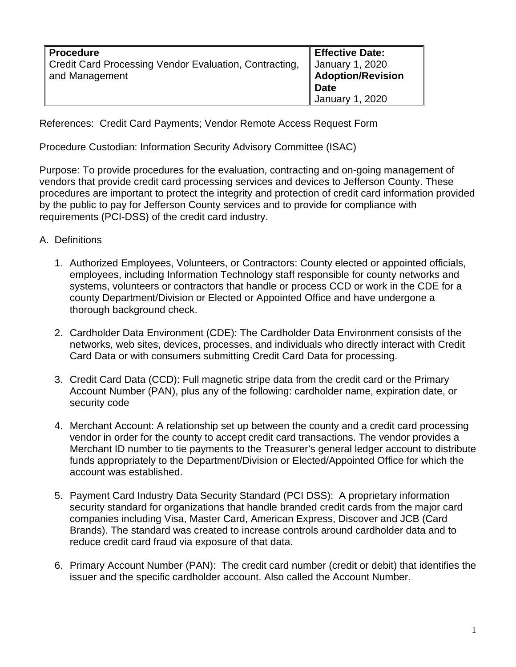| <b>Procedure</b>                                       | <b>Effective Date:</b>                      |
|--------------------------------------------------------|---------------------------------------------|
| Credit Card Processing Vendor Evaluation, Contracting, |                                             |
| and Management                                         | January 1, 2020<br><b>Adoption/Revision</b> |
|                                                        | <b>Date</b>                                 |
|                                                        | January 1, 2020                             |

References: Credit Card Payments; Vendor Remote Access Request Form

Procedure Custodian: Information Security Advisory Committee (ISAC)

Purpose: To provide procedures for the evaluation, contracting and on-going management of vendors that provide credit card processing services and devices to Jefferson County. These procedures are important to protect the integrity and protection of credit card information provided by the public to pay for Jefferson County services and to provide for compliance with requirements (PCI-DSS) of the credit card industry.

- A. Definitions
	- 1. Authorized Employees, Volunteers, or Contractors: County elected or appointed officials, employees, including Information Technology staff responsible for county networks and systems, volunteers or contractors that handle or process CCD or work in the CDE for a county Department/Division or Elected or Appointed Office and have undergone a thorough background check.
	- 2. Cardholder Data Environment (CDE): The Cardholder Data Environment consists of the networks, web sites, devices, processes, and individuals who directly interact with Credit Card Data or with consumers submitting Credit Card Data for processing.
	- 3. Credit Card Data (CCD): Full magnetic stripe data from the credit card or the Primary Account Number (PAN), plus any of the following: cardholder name, expiration date, or security code
	- 4. Merchant Account: A relationship set up between the county and a credit card processing vendor in order for the county to accept credit card transactions. The vendor provides a Merchant ID number to tie payments to the Treasurer's general ledger account to distribute funds appropriately to the Department/Division or Elected/Appointed Office for which the account was established.
	- 5. Payment Card Industry Data Security Standard (PCI DSS): A proprietary information security standard for organizations that handle branded credit cards from the major card companies including Visa, Master Card, American Express, Discover and JCB (Card Brands). The standard was created to increase controls around cardholder data and to reduce credit card fraud via exposure of that data.
	- 6. Primary Account Number (PAN): The credit card number (credit or debit) that identifies the issuer and the specific cardholder account. Also called the Account Number.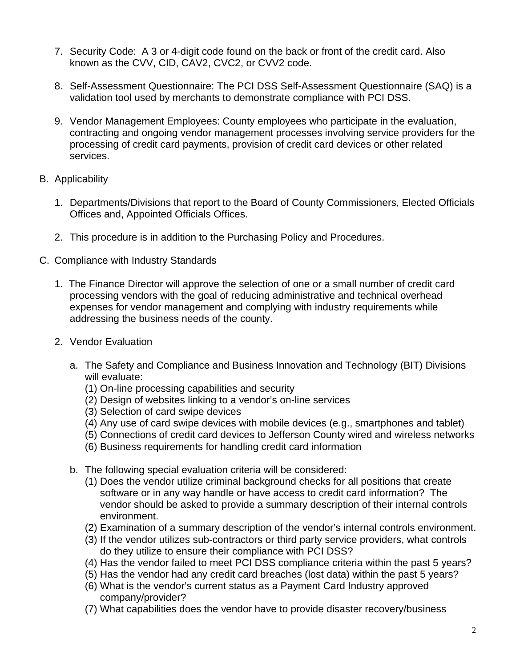- 7. Security Code: A 3 or 4-digit code found on the back or front of the credit card. Also known as the CVV, CID, CAV2, CVC2, or CVV2 code.
- 8. Self-Assessment Questionnaire: The PCI DSS Self-Assessment Questionnaire (SAQ) is a validation tool used by merchants to demonstrate compliance with PCI DSS.
- 9. Vendor Management Employees: County employees who participate in the evaluation, contracting and ongoing vendor management processes involving service providers for the processing of credit card payments, provision of credit card devices or other related services.
- B. Applicability
	- 1. Departments/Divisions that report to the Board of County Commissioners, Elected Officials Offices and, Appointed Officials Offices.
	- 2. This procedure is in addition to the Purchasing Policy and Procedures.
- C. Compliance with Industry Standards
	- 1. The Finance Director will approve the selection of one or a small number of credit card processing vendors with the goal of reducing administrative and technical overhead expenses for vendor management and complying with industry requirements while addressing the business needs of the county.
	- 2. Vendor Evaluation
		- a. The Safety and Compliance and Business Innovation and Technology (BIT) Divisions will evaluate:
			- (1) On-line processing capabilities and security
			- (2) Design of websites linking to a vendor's on-line services
			- (3) Selection of card swipe devices
			- (4) Any use of card swipe devices with mobile devices (e.g., smartphones and tablet)
			- (5) Connections of credit card devices to Jefferson County wired and wireless networks
			- (6) Business requirements for handling credit card information
		- b. The following special evaluation criteria will be considered:
			- (1) Does the vendor utilize criminal background checks for all positions that create software or in any way handle or have access to credit card information? The vendor should be asked to provide a summary description of their internal controls environment.
			- (2) Examination of a summary description of the vendor's internal controls environment.
			- (3) If the vendor utilizes sub-contractors or third party service providers, what controls do they utilize to ensure their compliance with PCI DSS?
			- (4) Has the vendor failed to meet PCI DSS compliance criteria within the past 5 years?
			- (5) Has the vendor had any credit card breaches (lost data) within the past 5 years?
			- (6) What is the vendor's current status as a Payment Card Industry approved company/provider?
			- (7) What capabilities does the vendor have to provide disaster recovery/business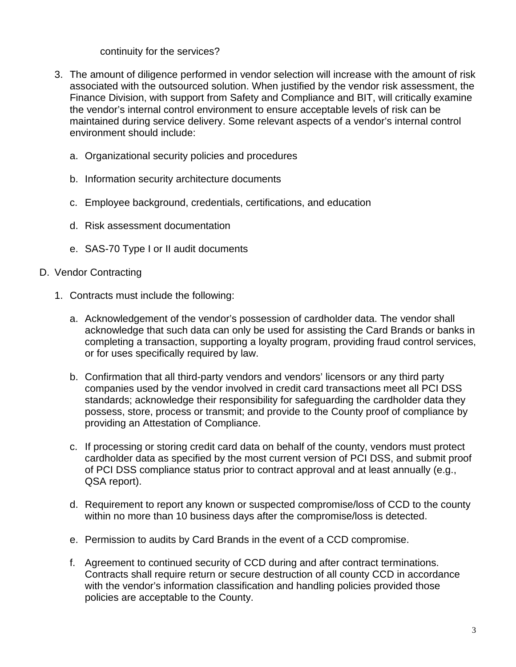## continuity for the services?

- 3. The amount of diligence performed in vendor selection will increase with the amount of risk associated with the outsourced solution. When justified by the vendor risk assessment, the Finance Division, with support from Safety and Compliance and BIT, will critically examine the vendor's internal control environment to ensure acceptable levels of risk can be maintained during service delivery. Some relevant aspects of a vendor's internal control environment should include:
	- a. Organizational security policies and procedures
	- b. Information security architecture documents
	- c. Employee background, credentials, certifications, and education
	- d. Risk assessment documentation
	- e. SAS-70 Type I or II audit documents

## D. Vendor Contracting

- 1. Contracts must include the following:
	- a. Acknowledgement of the vendor's possession of cardholder data. The vendor shall acknowledge that such data can only be used for assisting the Card Brands or banks in completing a transaction, supporting a loyalty program, providing fraud control services, or for uses specifically required by law.
	- b. Confirmation that all third-party vendors and vendors' licensors or any third party companies used by the vendor involved in credit card transactions meet all PCI DSS standards; acknowledge their responsibility for safeguarding the cardholder data they possess, store, process or transmit; and provide to the County proof of compliance by providing an Attestation of Compliance.
	- c. If processing or storing credit card data on behalf of the county, vendors must protect cardholder data as specified by the most current version of PCI DSS, and submit proof of PCI DSS compliance status prior to contract approval and at least annually (e.g., QSA report).
	- d. Requirement to report any known or suspected compromise/loss of CCD to the county within no more than 10 business days after the compromise/loss is detected.
	- e. Permission to audits by Card Brands in the event of a CCD compromise.
	- f. Agreement to continued security of CCD during and after contract terminations. Contracts shall require return or secure destruction of all county CCD in accordance with the vendor's information classification and handling policies provided those policies are acceptable to the County.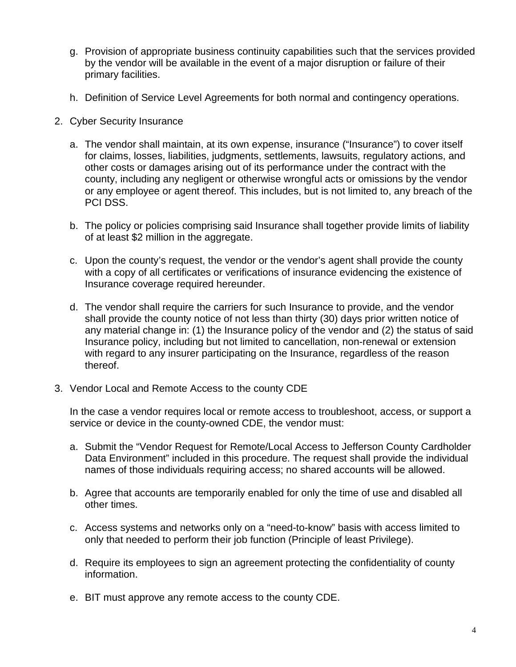- g. Provision of appropriate business continuity capabilities such that the services provided by the vendor will be available in the event of a major disruption or failure of their primary facilities.
- h. Definition of Service Level Agreements for both normal and contingency operations.
- 2. Cyber Security Insurance
	- a. The vendor shall maintain, at its own expense, insurance ("Insurance") to cover itself for claims, losses, liabilities, judgments, settlements, lawsuits, regulatory actions, and other costs or damages arising out of its performance under the contract with the county, including any negligent or otherwise wrongful acts or omissions by the vendor or any employee or agent thereof. This includes, but is not limited to, any breach of the PCI DSS.
	- b. The policy or policies comprising said Insurance shall together provide limits of liability of at least \$2 million in the aggregate.
	- c. Upon the county's request, the vendor or the vendor's agent shall provide the county with a copy of all certificates or verifications of insurance evidencing the existence of Insurance coverage required hereunder.
	- d. The vendor shall require the carriers for such Insurance to provide, and the vendor shall provide the county notice of not less than thirty (30) days prior written notice of any material change in: (1) the Insurance policy of the vendor and (2) the status of said Insurance policy, including but not limited to cancellation, non-renewal or extension with regard to any insurer participating on the Insurance, regardless of the reason thereof.
- 3. Vendor Local and Remote Access to the county CDE

In the case a vendor requires local or remote access to troubleshoot, access, or support a service or device in the county-owned CDE, the vendor must:

- a. Submit the "Vendor Request for Remote/Local Access to Jefferson County Cardholder Data Environment" included in this procedure. The request shall provide the individual names of those individuals requiring access; no shared accounts will be allowed.
- b. Agree that accounts are temporarily enabled for only the time of use and disabled all other times.
- c. Access systems and networks only on a "need-to-know" basis with access limited to only that needed to perform their job function (Principle of least Privilege).
- d. Require its employees to sign an agreement protecting the confidentiality of county information.
- e. BIT must approve any remote access to the county CDE.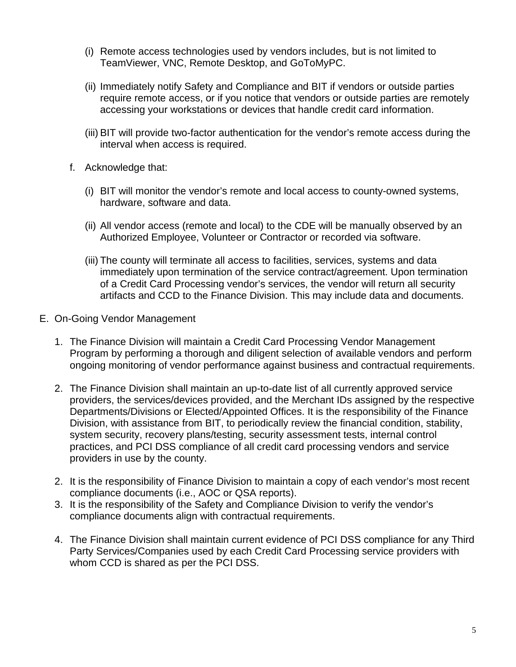- (i) Remote access technologies used by vendors includes, but is not limited to TeamViewer, VNC, Remote Desktop, and GoToMyPC.
- (ii) Immediately notify Safety and Compliance and BIT if vendors or outside parties require remote access, or if you notice that vendors or outside parties are remotely accessing your workstations or devices that handle credit card information.
- (iii) BIT will provide two-factor authentication for the vendor's remote access during the interval when access is required.
- f. Acknowledge that:
	- (i) BIT will monitor the vendor's remote and local access to county-owned systems, hardware, software and data.
	- (ii) All vendor access (remote and local) to the CDE will be manually observed by an Authorized Employee, Volunteer or Contractor or recorded via software.
	- (iii) The county will terminate all access to facilities, services, systems and data immediately upon termination of the service contract/agreement. Upon termination of a Credit Card Processing vendor's services, the vendor will return all security artifacts and CCD to the Finance Division. This may include data and documents.
- E. On-Going Vendor Management
	- 1. The Finance Division will maintain a Credit Card Processing Vendor Management Program by performing a thorough and diligent selection of available vendors and perform ongoing monitoring of vendor performance against business and contractual requirements.
	- 2. The Finance Division shall maintain an up-to-date list of all currently approved service providers, the services/devices provided, and the Merchant IDs assigned by the respective Departments/Divisions or Elected/Appointed Offices. It is the responsibility of the Finance Division, with assistance from BIT, to periodically review the financial condition, stability, system security, recovery plans/testing, security assessment tests, internal control practices, and PCI DSS compliance of all credit card processing vendors and service providers in use by the county.
	- 2. It is the responsibility of Finance Division to maintain a copy of each vendor's most recent compliance documents (i.e., AOC or QSA reports).
	- 3. It is the responsibility of the Safety and Compliance Division to verify the vendor's compliance documents align with contractual requirements.
	- 4. The Finance Division shall maintain current evidence of PCI DSS compliance for any Third Party Services/Companies used by each Credit Card Processing service providers with whom CCD is shared as per the PCI DSS.